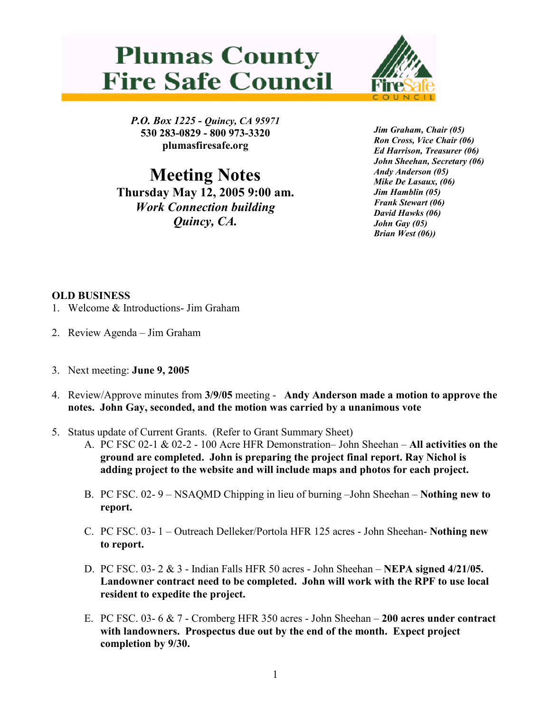



P.O. Box 1225 - Quincy, CA 95971 530 283-0829 - 800 973-3320 plumasfiresafe.org

Meeting Notes Thursday May 12, 2005 9:00 am. Work Connection building Quincy, CA.

Jim Graham, Chair (05) Ron Cross, Vice Chair (06) Ed Harrison, Treasurer (06) John Sheehan, Secretary (06) Andy Anderson (05) Mike De Lasaux, (06) Jim Hamblin (05) Frank Stewart (06) David Hawks (06) John Gay (05) Brian West (06))

## OLD BUSINESS

- 1. Welcome & Introductions- Jim Graham
- 2. Review Agenda Jim Graham
- 3. Next meeting: June 9, 2005
- 4. Review/Approve minutes from 3/9/05 meeting Andy Anderson made a motion to approve the notes. John Gay, seconded, and the motion was carried by a unanimous vote
- 5. Status update of Current Grants. (Refer to Grant Summary Sheet)
	- A. PC FSC 02-1 & 02-2 100 Acre HFR Demonstration– John Sheehan All activities on the ground are completed. John is preparing the project final report. Ray Nichol is adding project to the website and will include maps and photos for each project.
	- B. PC FSC. 02- 9 NSAQMD Chipping in lieu of burning –John Sheehan Nothing new to report.
	- C. PC FSC. 03- 1 Outreach Delleker/Portola HFR 125 acres John Sheehan- Nothing new to report.
	- D. PC FSC. 03- 2 & 3 Indian Falls HFR 50 acres John Sheehan NEPA signed 4/21/05. Landowner contract need to be completed. John will work with the RPF to use local resident to expedite the project.
	- E. PC FSC. 03- 6 & 7 Cromberg HFR 350 acres John Sheehan 200 acres under contract with landowners. Prospectus due out by the end of the month. Expect project completion by 9/30.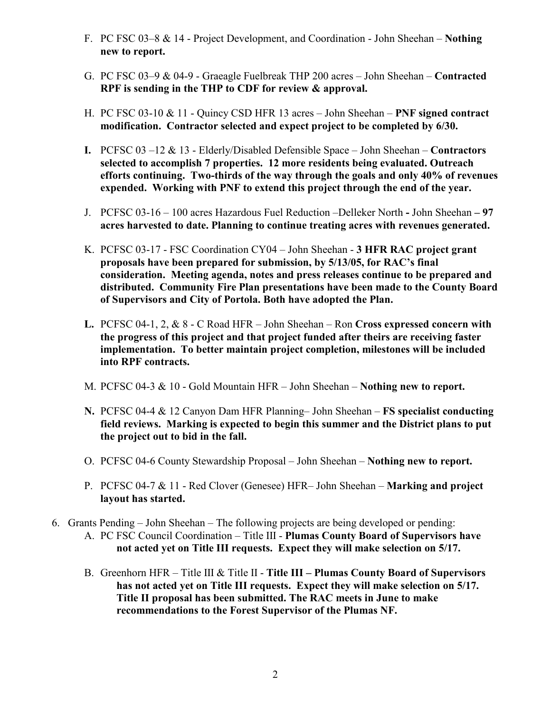- F. PC FSC 03–8 & 14 Project Development, and Coordination John Sheehan Nothing new to report.
- G. PC FSC 03–9 & 04-9 Graeagle Fuelbreak THP 200 acres John Sheehan Contracted RPF is sending in the THP to CDF for review & approval.
- H. PC FSC 03-10 & 11 Quincy CSD HFR 13 acres John Sheehan PNF signed contract modification. Contractor selected and expect project to be completed by 6/30.
- I. PCFSC  $03 12 \& 13$  Elderly/Disabled Defensible Space John Sheehan Contractors selected to accomplish 7 properties. 12 more residents being evaluated. Outreach efforts continuing. Two-thirds of the way through the goals and only 40% of revenues expended. Working with PNF to extend this project through the end of the year.
- J. PCFSC 03-16 100 acres Hazardous Fuel Reduction –Delleker North John Sheehan 97 acres harvested to date. Planning to continue treating acres with revenues generated.
- K. PCFSC 03-17 FSC Coordination CY04 John Sheehan 3 HFR RAC project grant proposals have been prepared for submission, by 5/13/05, for RAC's final consideration. Meeting agenda, notes and press releases continue to be prepared and distributed. Community Fire Plan presentations have been made to the County Board of Supervisors and City of Portola. Both have adopted the Plan.
- L. PCFSC 04-1, 2, & 8 C Road HFR John Sheehan Ron Cross expressed concern with the progress of this project and that project funded after theirs are receiving faster implementation. To better maintain project completion, milestones will be included into RPF contracts.
- M. PCFSC 04-3 & 10 Gold Mountain HFR John Sheehan Nothing new to report.
- N. PCFSC 04-4 & 12 Canyon Dam HFR Planning– John Sheehan FS specialist conducting field reviews. Marking is expected to begin this summer and the District plans to put the project out to bid in the fall.
- O. PCFSC 04-6 County Stewardship Proposal John Sheehan Nothing new to report.
- P. PCFSC 04-7 & 11 Red Clover (Genesee) HFR– John Sheehan **Marking and project** layout has started.
- 6. Grants Pending John Sheehan The following projects are being developed or pending: A. PC FSC Council Coordination – Title III - Plumas County Board of Supervisors have not acted yet on Title III requests. Expect they will make selection on 5/17.
	- B. Greenhorn HFR Title III & Title II Title III Plumas County Board of Supervisors has not acted yet on Title III requests. Expect they will make selection on 5/17. Title II proposal has been submitted. The RAC meets in June to make recommendations to the Forest Supervisor of the Plumas NF.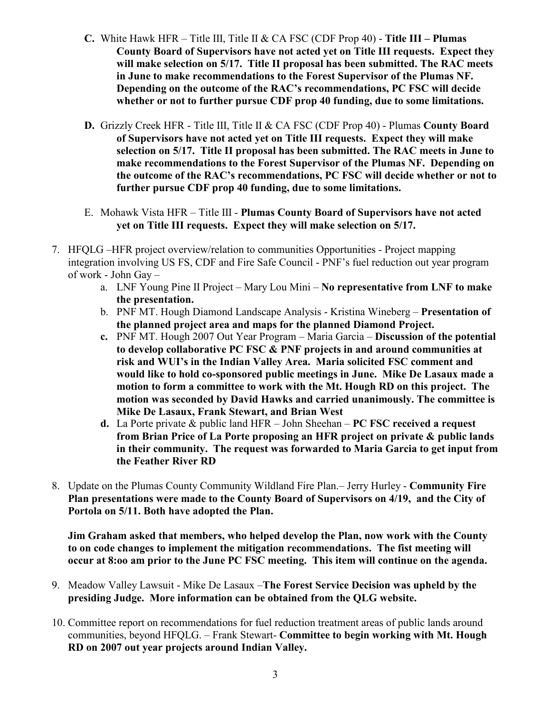- C. White Hawk HFR Title III, Title II & CA FSC (CDF Prop 40) Title III Plumas County Board of Supervisors have not acted yet on Title III requests. Expect they will make selection on 5/17. Title II proposal has been submitted. The RAC meets in June to make recommendations to the Forest Supervisor of the Plumas NF. Depending on the outcome of the RAC's recommendations, PC FSC will decide whether or not to further pursue CDF prop 40 funding, due to some limitations.
- D. Grizzly Creek HFR Title III, Title II & CA FSC (CDF Prop 40) Plumas County Board of Supervisors have not acted yet on Title III requests. Expect they will make selection on 5/17. Title II proposal has been submitted. The RAC meets in June to make recommendations to the Forest Supervisor of the Plumas NF. Depending on the outcome of the RAC's recommendations, PC FSC will decide whether or not to further pursue CDF prop 40 funding, due to some limitations.
- E. Mohawk Vista HFR Title III Plumas County Board of Supervisors have not acted yet on Title III requests. Expect they will make selection on 5/17.
- 7. HFQLG –HFR project overview/relation to communities Opportunities Project mapping integration involving US FS, CDF and Fire Safe Council - PNF's fuel reduction out year program of work - John Gay –
	- a. LNF Young Pine II Project Mary Lou Mini No representative from LNF to make the presentation.
	- b. PNF MT. Hough Diamond Landscape Analysis Kristina Wineberg Presentation of the planned project area and maps for the planned Diamond Project.
	- c. PNF MT. Hough 2007 Out Year Program Maria Garcia Discussion of the potential to develop collaborative PC FSC & PNF projects in and around communities at risk and WUI's in the Indian Valley Area. Maria solicited FSC comment and would like to hold co-sponsored public meetings in June. Mike De Lasaux made a motion to form a committee to work with the Mt. Hough RD on this project. The motion was seconded by David Hawks and carried unanimously. The committee is Mike De Lasaux, Frank Stewart, and Brian West
	- d. La Porte private  $\&$  public land HFR John Sheehan PC FSC received a request from Brian Price of La Porte proposing an HFR project on private & public lands in their community. The request was forwarded to Maria Garcia to get input from the Feather River RD
- 8. Update on the Plumas County Community Wildland Fire Plan.– Jerry Hurley Community Fire Plan presentations were made to the County Board of Supervisors on 4/19, and the City of Portola on 5/11. Both have adopted the Plan.

Jim Graham asked that members, who helped develop the Plan, now work with the County to on code changes to implement the mitigation recommendations. The fist meeting will occur at 8:oo am prior to the June PC FSC meeting. This item will continue on the agenda.

- 9. Meadow Valley Lawsuit Mike De Lasaux –The Forest Service Decision was upheld by the presiding Judge. More information can be obtained from the QLG website.
- 10. Committee report on recommendations for fuel reduction treatment areas of public lands around communities, beyond HFQLG. – Frank Stewart- Committee to begin working with Mt. Hough RD on 2007 out year projects around Indian Valley.